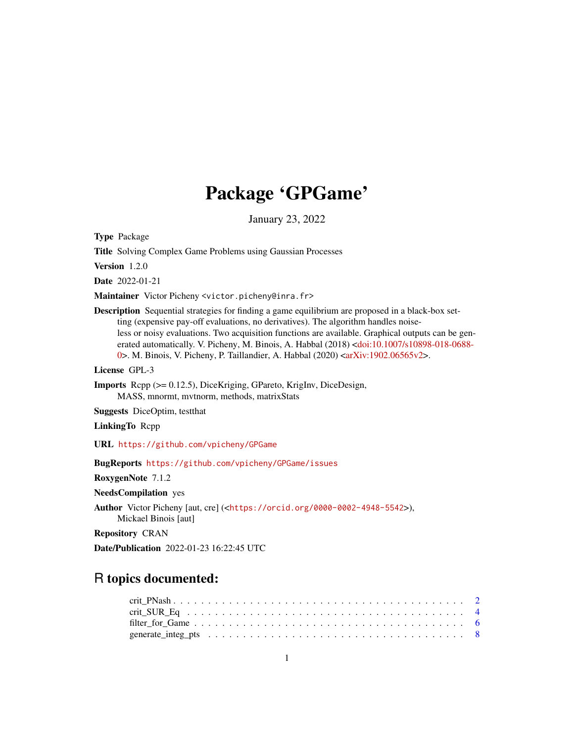# Package 'GPGame'

January 23, 2022

<span id="page-0-0"></span>Type Package

Title Solving Complex Game Problems using Gaussian Processes

Version 1.2.0

Date 2022-01-21

Maintainer Victor Picheny <victor.picheny@inra.fr>

Description Sequential strategies for finding a game equilibrium are proposed in a black-box setting (expensive pay-off evaluations, no derivatives). The algorithm handles noiseless or noisy evaluations. Two acquisition functions are available. Graphical outputs can be generated automatically. V. Picheny, M. Binois, A. Habbal (2018) [<doi:10.1007/s10898-018-0688-](https://doi.org/10.1007/s10898-018-0688-0) [0>](https://doi.org/10.1007/s10898-018-0688-0). M. Binois, V. Picheny, P. Taillandier, A. Habbal (2020) [<arXiv:1902.06565v2>](https://arxiv.org/abs/1902.06565v2).

License GPL-3

Imports Rcpp (>= 0.12.5), DiceKriging, GPareto, KrigInv, DiceDesign, MASS, mnormt, mvtnorm, methods, matrixStats

Suggests DiceOptim, testthat

LinkingTo Rcpp

URL <https://github.com/vpicheny/GPGame>

BugReports <https://github.com/vpicheny/GPGame/issues>

RoxygenNote 7.1.2

NeedsCompilation yes

Author Victor Picheny [aut, cre] (<<https://orcid.org/0000-0002-4948-5542>>),

Mickael Binois [aut]

Repository CRAN

Date/Publication 2022-01-23 16:22:45 UTC

# R topics documented: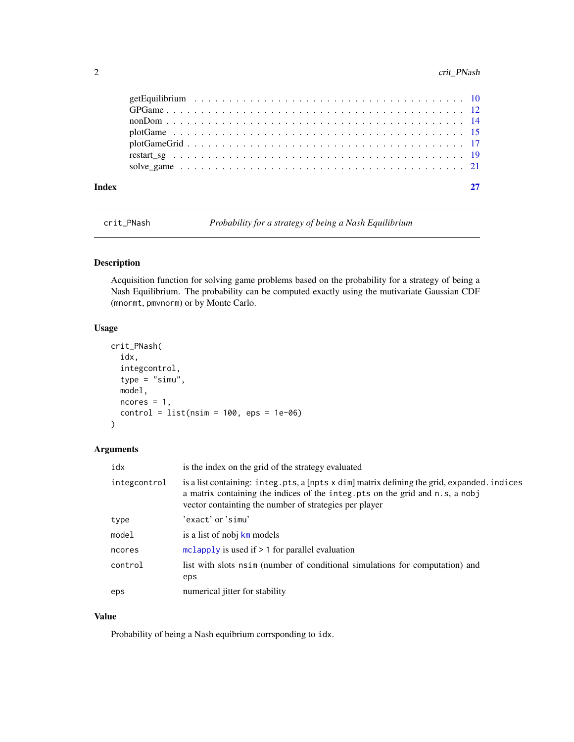# <span id="page-1-0"></span>2 crit\_PNash

| Index |  |
|-------|--|
|       |  |
|       |  |
|       |  |
|       |  |
|       |  |
|       |  |
|       |  |

<span id="page-1-1"></span>crit\_PNash *Probability for a strategy of being a Nash Equilibrium*

# Description

Acquisition function for solving game problems based on the probability for a strategy of being a Nash Equilibrium. The probability can be computed exactly using the mutivariate Gaussian CDF (mnormt, pmvnorm) or by Monte Carlo.

# Usage

```
crit_PNash(
  idx,
  integcontrol,
  type = "simu",
 model,
 ncores = 1,
  control = list(nsim = 100,eps = 1e-06))
```
#### Arguments

| idx          | is the index on the grid of the strategy evaluated                                                                                                                                                                                    |
|--------------|---------------------------------------------------------------------------------------------------------------------------------------------------------------------------------------------------------------------------------------|
| integcontrol | is a list containing: integ.pts, a [npts x dim] matrix defining the grid, expanded. indices<br>a matrix containing the indices of the integ.pts on the grid and n.s, a nobj<br>vector containting the number of strategies per player |
| type         | 'exact'or'simu'                                                                                                                                                                                                                       |
| model        | is a list of nobj km models                                                                                                                                                                                                           |
| ncores       | mclapply is used if $> 1$ for parallel evaluation                                                                                                                                                                                     |
| control      | list with slots nsim (number of conditional simulations for computation) and<br>eps                                                                                                                                                   |
| eps          | numerical jitter for stability                                                                                                                                                                                                        |

# Value

Probability of being a Nash equibrium corrsponding to idx.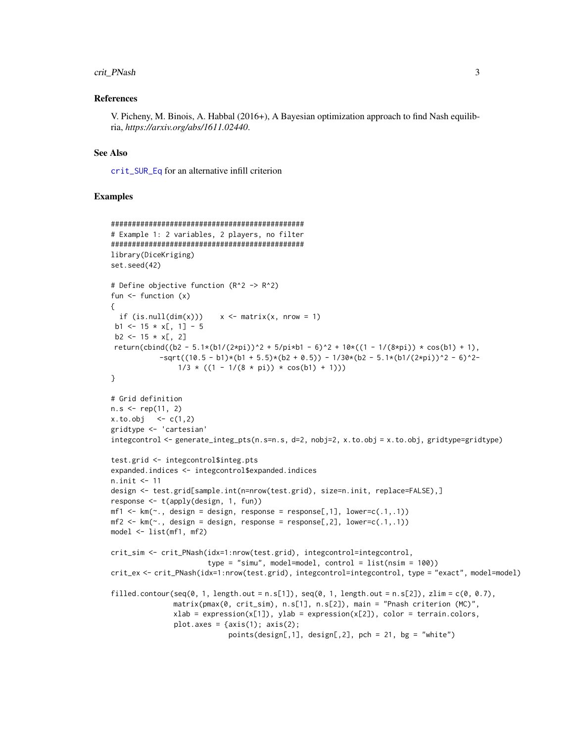#### <span id="page-2-0"></span>crit\_PNash 3

#### References

V. Picheny, M. Binois, A. Habbal (2016+), A Bayesian optimization approach to find Nash equilibria, *https://arxiv.org/abs/1611.02440*.

#### See Also

[crit\\_SUR\\_Eq](#page-3-1) for an alternative infill criterion

```
##############################################
# Example 1: 2 variables, 2 players, no filter
##############################################
library(DiceKriging)
set.seed(42)
# Define objective function (R^2 -> R^2)
fun \leftarrow function (x){
  if (is.null(dim(x))) x \le matrix(x, nrow = 1)
 b1 <- 15 * x[, 1] - 5
 b2 \le -15 \times x[, 2]
return(cbind((b2 - 5.1*(b1/(2*pi))^2 + 5/pi*b1 - 6)^2 + 10*((1 - 1/(8*pi)) * cos(b1) + 1),
            -sqrt((10.5 - b1)*(b1 + 5.5)*(b2 + 0.5)) - 1/30*(b2 - 5.1*(b1/(2*pi))^2 - 6)^2-1/3 * ((1 - 1/(8 * pi)) * cos(b1) + 1))}
# Grid definition
n.s < - rep(11, 2)x. to. obj < -c(1, 2)gridtype <- 'cartesian'
integcontrol \leq generate_integ_pts(n.s=n.s, d=2, nobj=2, x.to.obj = x.to.obj, gridtype=gridtype)
test.grid <- integcontrol$integ.pts
expanded.indices <- integcontrol$expanded.indices
n.init <- 11
design <- test.grid[sample.int(n=nrow(test.grid), size=n.init, replace=FALSE),]
response <- t(apply(design, 1, fun))
mf1 \leq -km(\sim. , design = design, response = response[, 1], lower=c(.1,.1))mf2 \leq km(\sim n, \text{ design} = \text{design}, \text{response} = \text{response}[0, 2], \text{lower}=(0.1, 0.1))model <- list(mf1, mf2)
crit_sim <- crit_PNash(idx=1:nrow(test.grid), integcontrol=integcontrol,
                        type = "simu", model=model, control = list(nsim = 100))
crit_ex <- crit_PNash(idx=1:nrow(test.grid), integcontrol=integcontrol, type = "exact", model=model)
filled.contour(seq(0, 1, length.out = n.s[1]), seq(0, 1, length.out = n.s[2]), zlim = c(0, 0.7),
               matrix(pmax(0, crit_sim), n.s[1], n.s[2]), main = "Pnash criterion (MC)",
               xlab = expression(x[1]), ylab = expression(x[2]), color = terrain.colors,
               plot.axes = \{axis(1); axis(2);points(design[, 1], design[, 2], pch = 21, bg = "white")
```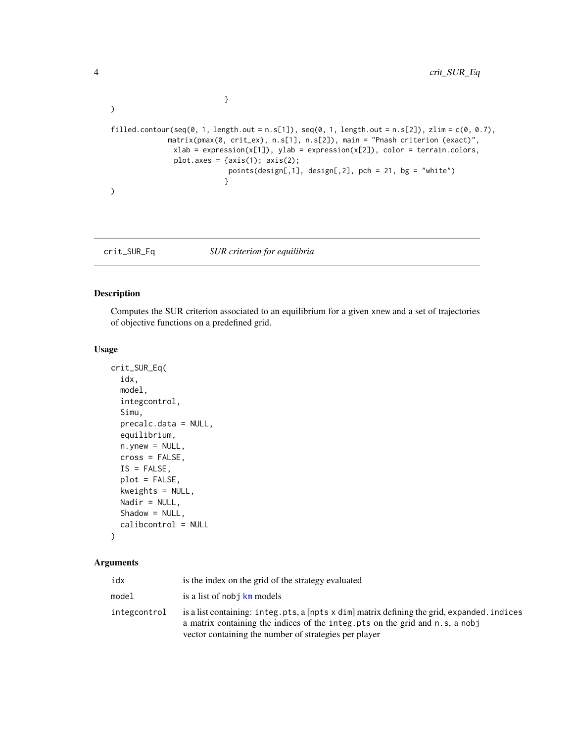```
}
\mathcal{L}filled.contour(seq(0, 1, length.out = n.s[1]), seq(0, 1, length.out = n.s[2]), zlim = c(0, 0.7),
              matrix(pmax(0, crit_ex), n.s[1], n.s[2]), main = "Pnash criterion (exact)",
                xlab = expression(x[1]), ylab = expression(x[2]), color = terrain.colors,
                plot.axes = \{axis(1); axis(2);points(design[,1], design[,2], pch = 21, bg = "white")
                             }
\mathcal{L}
```
<span id="page-3-1"></span>crit\_SUR\_Eq *SUR criterion for equilibria*

# Description

Computes the SUR criterion associated to an equilibrium for a given xnew and a set of trajectories of objective functions on a predefined grid.

#### Usage

```
crit_SUR_Eq(
  idx,
  model,
  integcontrol,
  Simu,
 precalc.data = NULL,
  equilibrium,
  n.ynew = NULL,
  cross = FALSE,
  IS = FALSE,plot = FALSE,
  kweights = NULL,
 Nadir = NULL,
  Shadow = NULL,
  calibcontrol = NULL
)
```
#### Arguments

| idx          | is the index on the grid of the strategy evaluated                                                                                                                                                                                    |
|--------------|---------------------------------------------------------------------------------------------------------------------------------------------------------------------------------------------------------------------------------------|
| model        | is a list of nobj km models                                                                                                                                                                                                           |
| integcontrol | is a list containing: integ.pts, a [npts x dim] matrix defining the grid, expanded. indices<br>a matrix containing the indices of the integ. pts on the grid and n.s, a nobj<br>vector containing the number of strategies per player |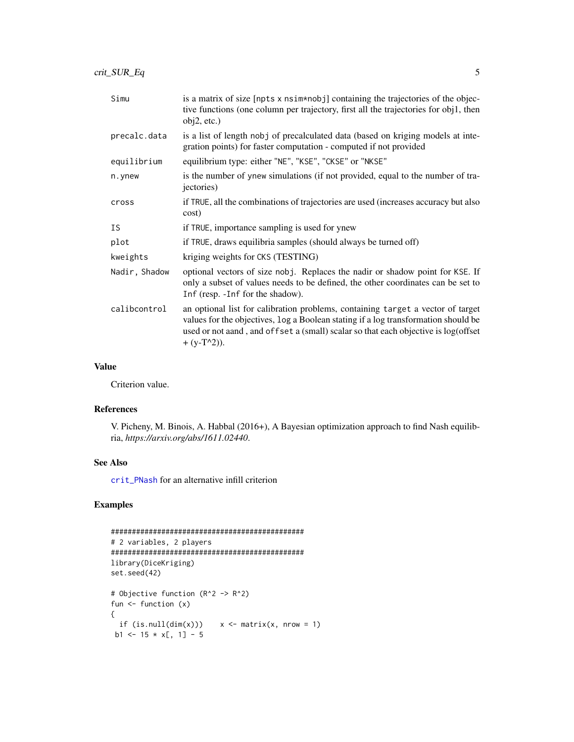<span id="page-4-0"></span>crit\_SUR\_Eq 5

| Simu          | is a matrix of size [npts x nsim*nobj] containing the trajectories of the objec-<br>tive functions (one column per trajectory, first all the trajectories for obj1, then<br>obj2, etc.)                                                                                       |
|---------------|-------------------------------------------------------------------------------------------------------------------------------------------------------------------------------------------------------------------------------------------------------------------------------|
| precalc.data  | is a list of length nobj of precalculated data (based on kriging models at inte-<br>gration points) for faster computation - computed if not provided                                                                                                                         |
| equilibrium   | equilibrium type: either "NE", "KSE", "CKSE" or "NKSE"                                                                                                                                                                                                                        |
| n.ynew        | is the number of ynew simulations (if not provided, equal to the number of tra-<br>jectories)                                                                                                                                                                                 |
| cross         | if TRUE, all the combinations of trajectories are used (increases accuracy but also<br>cost)                                                                                                                                                                                  |
| ΙS            | if TRUE, importance sampling is used for ynew                                                                                                                                                                                                                                 |
| plot          | if TRUE, draws equilibria samples (should always be turned off)                                                                                                                                                                                                               |
| kweights      | kriging weights for CKS (TESTING)                                                                                                                                                                                                                                             |
| Nadir, Shadow | optional vectors of size nobj. Replaces the nadir or shadow point for KSE. If<br>only a subset of values needs to be defined, the other coordinates can be set to<br>Inf (resp. - Inf for the shadow).                                                                        |
| calibcontrol  | an optional list for calibration problems, containing target a vector of target<br>values for the objectives, log a Boolean stating if a log transformation should be<br>used or not aand, and offset a (small) scalar so that each objective is log(offset<br>+ $(y-T^2)$ ). |

# Value

Criterion value.

# References

V. Picheny, M. Binois, A. Habbal (2016+), A Bayesian optimization approach to find Nash equilibria, *https://arxiv.org/abs/1611.02440*.

### See Also

[crit\\_PNash](#page-1-1) for an alternative infill criterion

```
##############################################
# 2 variables, 2 players
##############################################
library(DiceKriging)
set.seed(42)
# Objective function (R^2 -> R^2)
fun \leq function (x){
 if (is.null(dim(x)))  x \leq matrix(x, nrow = 1)b1 <- 15 * x[, 1] - 5
```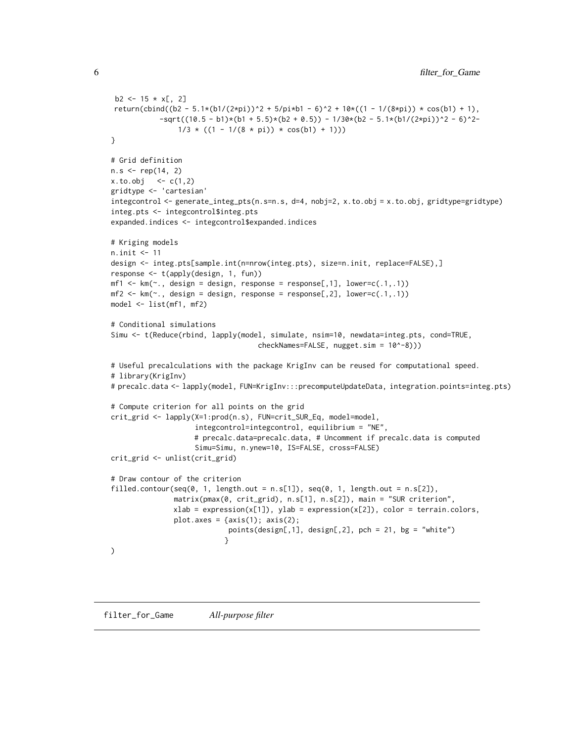```
b2 \le -15 \times x[, 2]return(cbind((b2 - 5.1*(b1/(2*pi))^2 + 5/pi*b1 - 6)^2 + 10*((1 - 1/(8*pi)) * cos(b1) + 1),
           -sqrt((10.5 - b1)*(b1 + 5.5)*(b2 + 0.5)) - 1/30*(b2 - 5.1*(b1/(2*pi))^2 - 6)^2-1/3 * ((1 - 1/(8 * pi)) * cos(b1) + 1))}
# Grid definition
n.s < - rep(14, 2)x. to. obj < -c(1, 2)gridtype <- 'cartesian'
integcontrol <- generate_integ_pts(n.s=n.s, d=4, nobj=2, x.to.obj = x.to.obj, gridtype=gridtype)
integ.pts <- integcontrol$integ.pts
expanded.indices <- integcontrol$expanded.indices
# Kriging models
n.init <- 11
design <- integ.pts[sample.int(n=nrow(integ.pts), size=n.init, replace=FALSE),]
response <- t(apply(design, 1, fun))
mf1 \leftarrow km(\sim ., design = design, response = response[, 1], lower=c(.1,.1))mf2 \leq km(\sim ., design = design, response = response[, 2], lower=c(.1,.1))model <- list(mf1, mf2)
# Conditional simulations
Simu <- t(Reduce(rbind, lapply(model, simulate, nsim=10, newdata=integ.pts, cond=TRUE,
                                    checkNames=FALSE, nugget.sim = 10^-8)))
# Useful precalculations with the package KrigInv can be reused for computational speed.
# library(KrigInv)
# precalc.data <- lapply(model, FUN=KrigInv:::precomputeUpdateData, integration.points=integ.pts)
# Compute criterion for all points on the grid
crit_grid <- lapply(X=1:prod(n.s), FUN=crit_SUR_Eq, model=model,
                    integcontrol=integcontrol, equilibrium = "NE",
                    # precalc.data=precalc.data, # Uncomment if precalc.data is computed
                    Simu=Simu, n.ynew=10, IS=FALSE, cross=FALSE)
crit_grid <- unlist(crit_grid)
# Draw contour of the criterion
filled.contour(seq(0, 1, length.out = n.S[1]), seq(0, 1, length.out = n.S[2]),
               matrix(pmax(0, crit_grid), n.s[1], n.s[2]), main = "SUR criterion",
               xlab = expression(x[1]), ylab = expression(x[2]), color = terrain.colors,
               plot.axes = \{axis(1); axis(2);points(design[,1], design[,2], pch = 21, bg = "white")
                           }
)
```
filter\_for\_Game *All-purpose filter*

<span id="page-5-0"></span>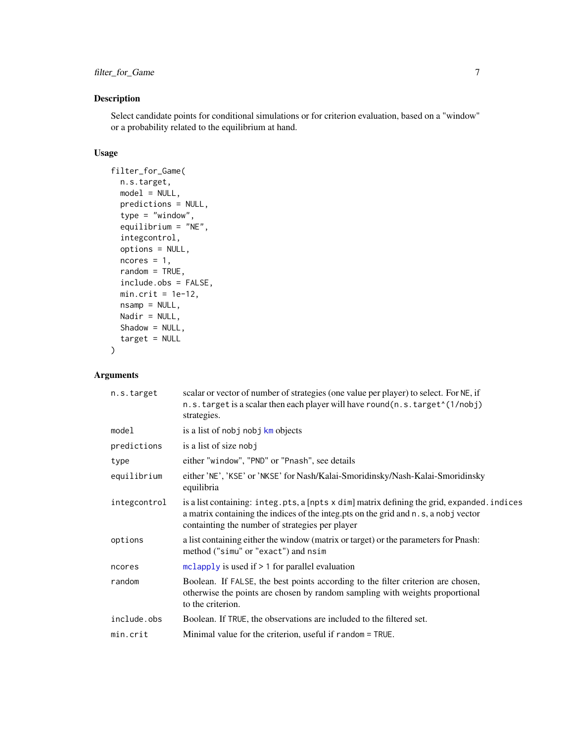# <span id="page-6-0"></span>Description

Select candidate points for conditional simulations or for criterion evaluation, based on a "window" or a probability related to the equilibrium at hand.

#### Usage

```
filter_for_Game(
  n.s.target,
 model = NULL,predictions = NULL,
  type = "window",
  equilibrium = "NE",
  integcontrol,
  options = NULL,
 ncores = 1,
  random = TRUE,
  include.obs = FALSE,
 min.crit = 1e-12,
 nsamp = NULL,
 Nadir = NULL,
  Shadow = NULL,
  target = NULL)
```
# Arguments

| n.s.target   | scalar or vector of number of strategies (one value per player) to select. For NE, if<br>n.s. target is a scalar then each player will have round(n.s. target <sup>*</sup> (1/nobj)<br>strategies.                                    |
|--------------|---------------------------------------------------------------------------------------------------------------------------------------------------------------------------------------------------------------------------------------|
| model        | is a list of nobj nobj km objects                                                                                                                                                                                                     |
| predictions  | is a list of size nobj                                                                                                                                                                                                                |
| type         | either "window", "PND" or "Pnash", see details                                                                                                                                                                                        |
| equilibrium  | either 'NE', 'KSE' or 'NKSE' for Nash/Kalai-Smoridinsky/Nash-Kalai-Smoridinsky<br>equilibria                                                                                                                                          |
| integcontrol | is a list containing: integ.pts, a [npts x dim] matrix defining the grid, expanded.indices<br>a matrix containing the indices of the integ. pts on the grid and n.s, a nobj vector<br>containting the number of strategies per player |
| options      | a list containing either the window (matrix or target) or the parameters for Pnash:<br>method ("simu" or "exact") and nsim                                                                                                            |
| ncores       | mclapply is used if $> 1$ for parallel evaluation                                                                                                                                                                                     |
| random       | Boolean. If FALSE, the best points according to the filter criterion are chosen,<br>otherwise the points are chosen by random sampling with weights proportional<br>to the criterion.                                                 |
| include.obs  | Boolean. If TRUE, the observations are included to the filtered set.                                                                                                                                                                  |
| min.crit     | Minimal value for the criterion, useful if random = TRUE.                                                                                                                                                                             |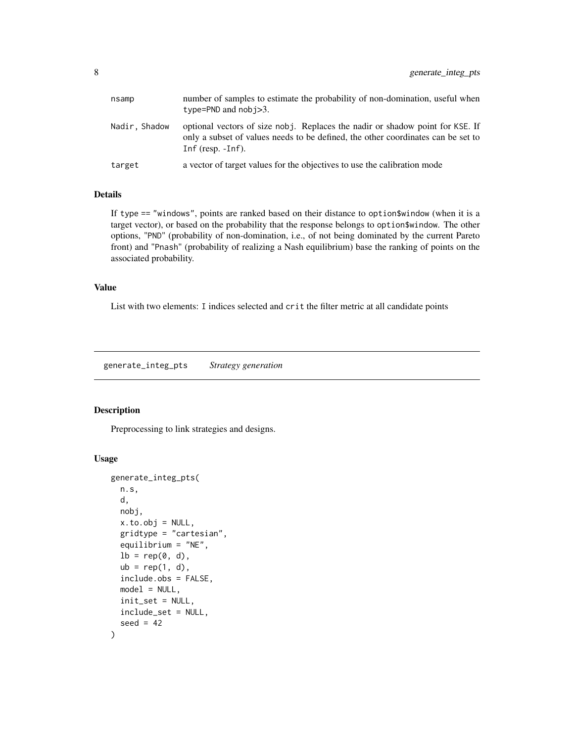<span id="page-7-0"></span>

| nsamp         | number of samples to estimate the probability of non-domination, useful when<br>type=PND and $nobi>3$ .                                                                                   |
|---------------|-------------------------------------------------------------------------------------------------------------------------------------------------------------------------------------------|
| Nadir, Shadow | optional vectors of size nobj. Replaces the nadir or shadow point for KSE. If<br>only a subset of values needs to be defined, the other coordinates can be set to<br>Inf $(resp. -Inf)$ . |
| target        | a vector of target values for the objectives to use the calibration mode                                                                                                                  |

#### Details

If type == "windows", points are ranked based on their distance to option\$window (when it is a target vector), or based on the probability that the response belongs to option\$window. The other options, "PND" (probability of non-domination, i.e., of not being dominated by the current Pareto front) and "Pnash" (probability of realizing a Nash equilibrium) base the ranking of points on the associated probability.

#### Value

List with two elements: I indices selected and crit the filter metric at all candidate points

<span id="page-7-1"></span>generate\_integ\_pts *Strategy generation*

#### Description

Preprocessing to link strategies and designs.

```
generate_integ_pts(
 n.s,
 d,
 nobj,
 x.to.obj = NULL,gridtype = "cartesian",
 equilibrium = "NE",
 lb = rep(0, d),ub = rep(1, d),include.obs = FALSE,
 model = NULL,init_set = NULL,
 include_set = NULL,
  seed = 42)
```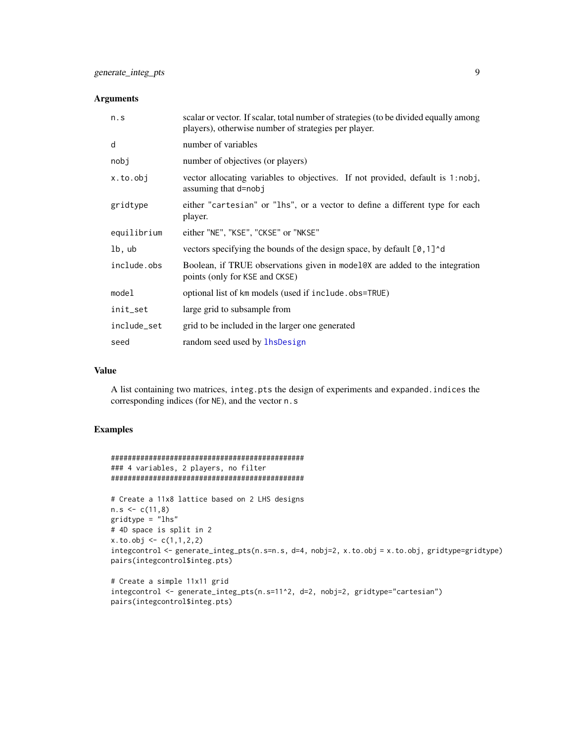#### <span id="page-8-0"></span>Arguments

| n.s         | scalar or vector. If scalar, total number of strategies (to be divided equally among<br>players), otherwise number of strategies per player. |
|-------------|----------------------------------------------------------------------------------------------------------------------------------------------|
| d           | number of variables                                                                                                                          |
| nobj        | number of objectives (or players)                                                                                                            |
| x.to.obj    | vector allocating variables to objectives. If not provided, default is 1:nobj,<br>assuming that d=nobj                                       |
| gridtype    | either "cartesian" or "lhs", or a vector to define a different type for each<br>player.                                                      |
| equilibrium | either "NE", "KSE", "CKSE" or "NKSE"                                                                                                         |
| lb, ub      | vectors specifying the bounds of the design space, by default $[0, 1]$ <sup><math>\circ</math></sup> d                                       |
| include.obs | Boolean, if TRUE observations given in model@X are added to the integration<br>points (only for KSE and CKSE)                                |
| model       | optional list of km models (used if include.obs=TRUE)                                                                                        |
| init_set    | large grid to subsample from                                                                                                                 |
| include_set | grid to be included in the larger one generated                                                                                              |
| seed        | random seed used by lhsDesign                                                                                                                |

#### Value

A list containing two matrices, integ.pts the design of experiments and expanded.indices the corresponding indices (for NE), and the vector n.s

```
##############################################
### 4 variables, 2 players, no filter
##############################################
# Create a 11x8 lattice based on 2 LHS designs
```

```
n.s < -c(11,8)gridtype = "lhs"
# 4D space is split in 2
x.to.obj \leq c(1,1,2,2)integcontrol <- generate_integ_pts(n.s=n.s, d=4, nobj=2, x.to.obj = x.to.obj, gridtype=gridtype)
pairs(integcontrol$integ.pts)
```

```
# Create a simple 11x11 grid
integcontrol <- generate_integ_pts(n.s=11^2, d=2, nobj=2, gridtype="cartesian")
pairs(integcontrol$integ.pts)
```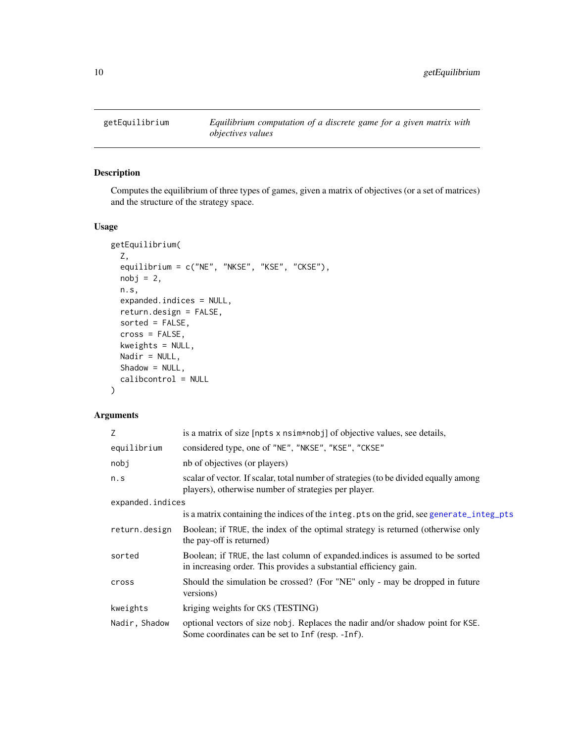<span id="page-9-0"></span>

# Description

Computes the equilibrium of three types of games, given a matrix of objectives (or a set of matrices) and the structure of the strategy space.

# Usage

```
getEquilibrium(
 Z,
 equilibrium = c("NE", "NKSE", "KSE", "CKSE"),
 nobj = 2,n.s,
 expanded.indices = NULL,
 return.design = FALSE,
 sorted = FALSE,
 cross = FALSE,
 kweights = NULL,
 Nadir = NULL,
 Shadow = NULL,calibcontrol = NULL
)
```
### Arguments

| Z                | is a matrix of size [npts x nsim*nobj] of objective values, see details,                                                                           |
|------------------|----------------------------------------------------------------------------------------------------------------------------------------------------|
| equilibrium      | considered type, one of "NE", "NKSE", "KSE", "CKSE"                                                                                                |
| nobj             | nb of objectives (or players)                                                                                                                      |
| n.s              | scalar of vector. If scalar, total number of strategies (to be divided equally among<br>players), otherwise number of strategies per player.       |
| expanded.indices |                                                                                                                                                    |
|                  | is a matrix containing the indices of the integ.pts on the grid, see generate_integ_pts                                                            |
| return.design    | Boolean; if TRUE, the index of the optimal strategy is returned (otherwise only<br>the pay-off is returned)                                        |
| sorted           | Boolean; if TRUE, the last column of expanded indices is assumed to be sorted<br>in increasing order. This provides a substantial efficiency gain. |
| cross            | Should the simulation be crossed? (For "NE" only - may be dropped in future<br>versions)                                                           |
| kweights         | kriging weights for CKS (TESTING)                                                                                                                  |
| Nadir, Shadow    | optional vectors of size nobj. Replaces the nadir and/or shadow point for KSE.<br>Some coordinates can be set to Inf (resp. -Inf).                 |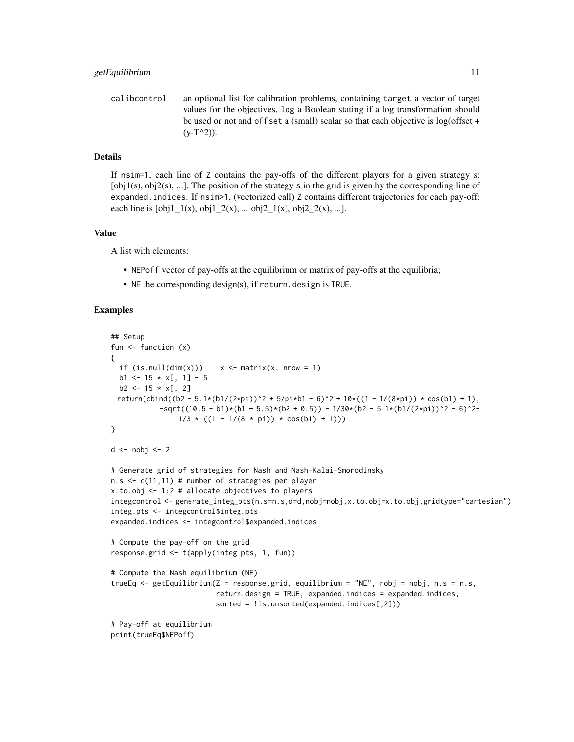calibcontrol an optional list for calibration problems, containing target a vector of target values for the objectives, log a Boolean stating if a log transformation should be used or not and offset a (small) scalar so that each objective is log(offset +  $(y-T^2)$ ).

#### Details

If nsim=1, each line of Z contains the pay-offs of the different players for a given strategy s: [obj1(s), obj2(s), ...]. The position of the strategy s in the grid is given by the corresponding line of expanded.indices. If nsim>1, (vectorized call) Z contains different trajectories for each pay-off: each line is  $[obj1_1(x), obj1_2(x), ... obj2_1(x), obj2_2(x), ...].$ 

#### Value

A list with elements:

- NEPoff vector of pay-offs at the equilibrium or matrix of pay-offs at the equilibria;
- NE the corresponding design(s), if return.design is TRUE.

```
## Setup
fun <- function (x)
{
 if (is.null(dim(x))) x \le matrix(x, nrow = 1)
 b1 <- 15 \times x[, 1] - 5
 b2 \le -15 \times x[, 2]
 return(cbind((b2 - 5.1*(b1/(2*pi))^2 + 5/pi*b1 - 6)^2 + 10*((1 - 1/(8*pi)) * cos(b1) + 1),
            -sqrt((10.5 - b1)*(b1 + 5.5)*(b2 + 0.5)) - 1/30*(b2 - 5.1*(b1/(2*pi))^2 - 6)^2-1/3 * ((1 - 1/(8 * pi)) * cos(b1) + 1)))}
d \leftarrow nobj \leftarrow 2# Generate grid of strategies for Nash and Nash-Kalai-Smorodinsky
n.s <- c(11,11) # number of strategies per player
x.to.obj <- 1:2 # allocate objectives to players
integcontrol <- generate_integ_pts(n.s=n.s,d=d,nobj=nobj,x.to.obj=x.to.obj,gridtype="cartesian")
integ.pts <- integcontrol$integ.pts
expanded.indices <- integcontrol$expanded.indices
# Compute the pay-off on the grid
response.grid <- t(apply(integ.pts, 1, fun))
# Compute the Nash equilibrium (NE)
trueEq <- getEquilibrium(Z = response.grid, equilibrium = "NE", nobj = nobj, n.s = n.s,
                         return.design = TRUE, expanded.indices = expanded.indices,
                         sorted = !is.unsorted(expanded.indices[,2]))
# Pay-off at equilibrium
print(trueEq$NEPoff)
```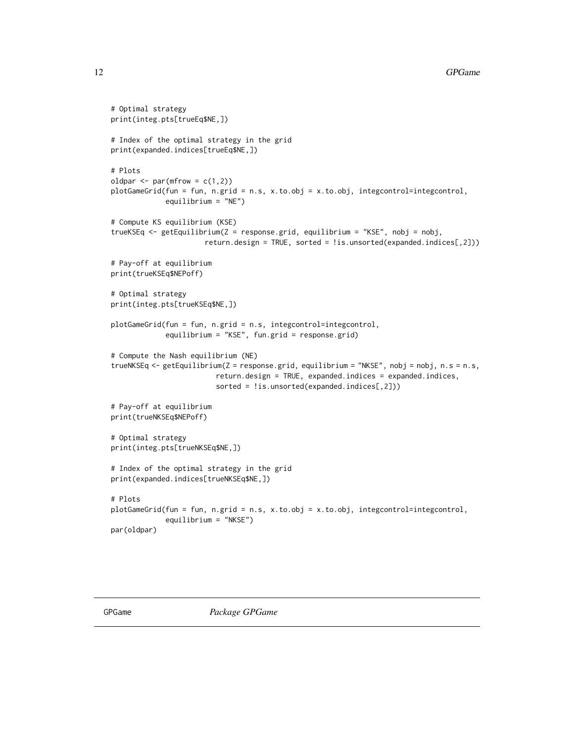```
# Optimal strategy
print(integ.pts[trueEq$NE,])
# Index of the optimal strategy in the grid
print(expanded.indices[trueEq$NE,])
# Plots
oldpar \leq par(mfrow = c(1,2))
plotGameGrid(fun = fun, n.grid = n.s, x.to.obj = x.to.obj, integcontrol=integcontrol,
             equilibrium = "NE")
# Compute KS equilibrium (KSE)
trueKSEq <- getEquilibrium(Z = response.grid, equilibrium = "KSE", nobj = nobj,
                      return.design = TRUE, sorted = !is.unsorted(expanded.indices[,2]))
# Pay-off at equilibrium
print(trueKSEq$NEPoff)
# Optimal strategy
print(integ.pts[trueKSEq$NE,])
plotGameGrid(fun = fun, n.grid = n.s, integcontrol=integcontrol,
             equilibrium = "KSE", fun.grid = response.grid)
# Compute the Nash equilibrium (NE)
trueNKSEq <- getEquilibrium(Z = response.grid, equilibrium = "NKSE", nobj = nobj, n.s = n.s,
                         return.design = TRUE, expanded.indices = expanded.indices,
                         sorted = !is.unsorted(expanded.indices[,2]))
# Pay-off at equilibrium
print(trueNKSEq$NEPoff)
# Optimal strategy
print(integ.pts[trueNKSEq$NE,])
# Index of the optimal strategy in the grid
print(expanded.indices[trueNKSEq$NE,])
# Plots
plotGameGrid(fun = fun, n.grid = n.s, x.to.obj = x.to.obj, integcontrol=integcontrol,
             equilibrium = "NKSE")
par(oldpar)
```
<span id="page-11-0"></span>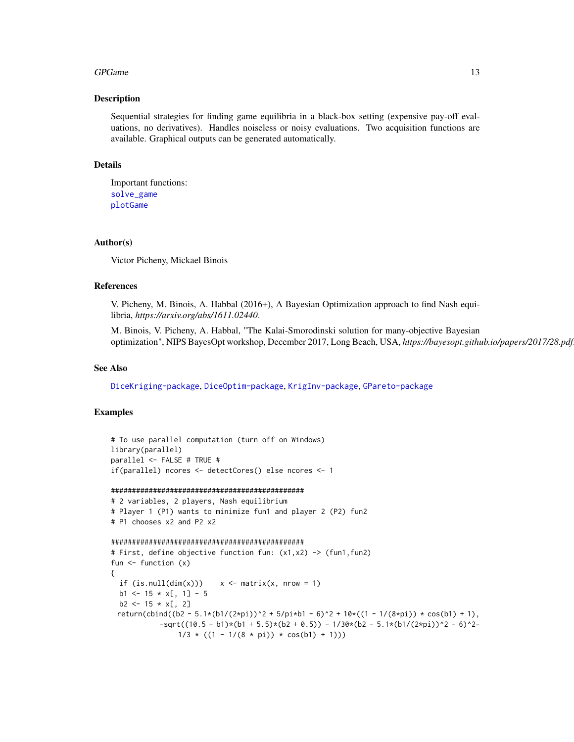#### <span id="page-12-0"></span>GPGame 13

#### Description

Sequential strategies for finding game equilibria in a black-box setting (expensive pay-off evaluations, no derivatives). Handles noiseless or noisy evaluations. Two acquisition functions are available. Graphical outputs can be generated automatically.

# Details

```
Important functions:
solve_game
plotGame
```
#### Author(s)

Victor Picheny, Mickael Binois

#### References

V. Picheny, M. Binois, A. Habbal (2016+), A Bayesian Optimization approach to find Nash equilibria, *https://arxiv.org/abs/1611.02440*.

M. Binois, V. Picheny, A. Habbal, "The Kalai-Smorodinski solution for many-objective Bayesian optimization", NIPS BayesOpt workshop, December 2017, Long Beach, USA, *https://bayesopt.github.io/papers/2017/28.pdf*.

#### See Also

[DiceKriging-package](#page-0-0), [DiceOptim-package](#page-0-0), [KrigInv-package](#page-0-0), [GPareto-package](#page-0-0)

```
# To use parallel computation (turn off on Windows)
library(parallel)
parallel <- FALSE # TRUE #
if(parallel) ncores <- detectCores() else ncores <- 1
```

```
##############################################
```

```
# 2 variables, 2 players, Nash equilibrium
# Player 1 (P1) wants to minimize fun1 and player 2 (P2) fun2
# P1 chooses x2 and P2 x2
```

```
##############################################
```

```
# First, define objective function fun: (x1,x2) -> (fun1,fun2)
fun \leftarrow function (x){
 if (is.null(dim(x)))  x \leq matrix(x, nrow = 1)b1 \le -15 \times x[, 1] - 5b2 \le -15 \times x[, 2]return(cbind((b2 - 5.1*(b1/(2*pi))^2 + 5/pi*b1 - 6)^2 + 10*((1 - 1/(8*pi)) * cos(b1) + 1),
            -sqrt((10.5 - b1)*(b1 + 5.5)*(b2 + 0.5)) - 1/30*(b2 - 5.1*(b1/(2*pi))^2 - 6)^2-1/3 * ((1 - 1/(8 * pi)) * cos(b1) + 1)))
```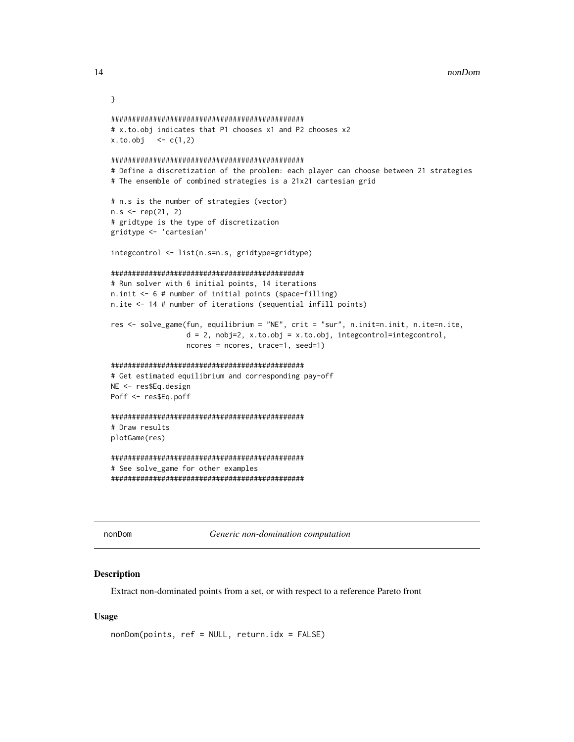<span id="page-13-0"></span>14 nonDom

```
}
##############################################
# x.to.obj indicates that P1 chooses x1 and P2 chooses x2
x. to. obj < -c(1, 2)##############################################
# Define a discretization of the problem: each player can choose between 21 strategies
# The ensemble of combined strategies is a 21x21 cartesian grid
# n.s is the number of strategies (vector)
n.s < - rep(21, 2)# gridtype is the type of discretization
gridtype <- 'cartesian'
integcontrol <- list(n.s=n.s, gridtype=gridtype)
##############################################
# Run solver with 6 initial points, 14 iterations
n.init <- 6 # number of initial points (space-filling)
n.ite <- 14 # number of iterations (sequential infill points)
res <- solve_game(fun, equilibrium = "NE", crit = "sur", n.init=n.init, n.ite=n.ite,
                  d = 2, nobj=2, x.to.obj = x.to.obj, integcontrol=integcontrol,
                  ncores = ncores, trace=1, seed=1)
##############################################
# Get estimated equilibrium and corresponding pay-off
NE <- res$Eq.design
Poff <- res$Eq.poff
##############################################
# Draw results
plotGame(res)
##############################################
# See solve_game for other examples
##############################################
```
nonDom *Generic non-domination computation*

#### Description

Extract non-dominated points from a set, or with respect to a reference Pareto front

```
nonDom(points, ref = NULL, return.idx = FALSE)
```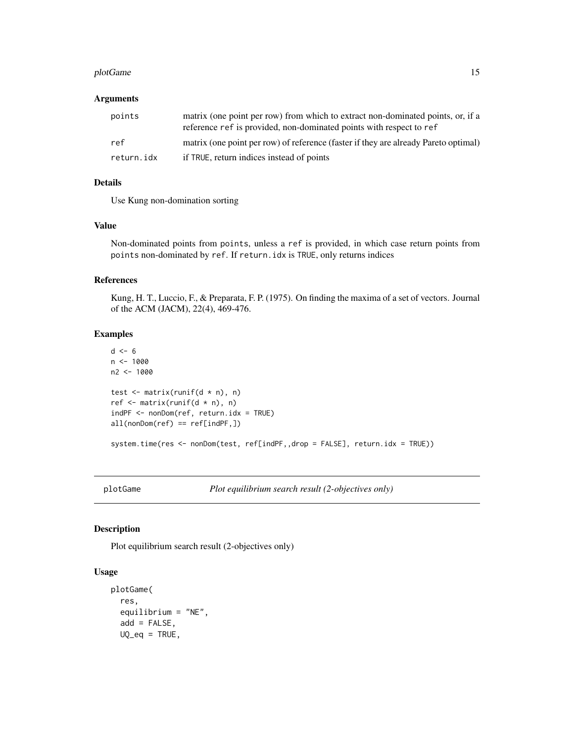#### <span id="page-14-0"></span>plotGame 15

#### Arguments

| points     | matrix (one point per row) from which to extract non-dominated points, or, if a<br>reference ref is provided, non-dominated points with respect to ref |
|------------|--------------------------------------------------------------------------------------------------------------------------------------------------------|
| ref        | matrix (one point per row) of reference (faster if they are already Pareto optimal)                                                                    |
| return.idx | if TRUE, return indices instead of points                                                                                                              |

#### Details

Use Kung non-domination sorting

#### Value

Non-dominated points from points, unless a ref is provided, in which case return points from points non-dominated by ref. If return.idx is TRUE, only returns indices

#### References

Kung, H. T., Luccio, F., & Preparata, F. P. (1975). On finding the maxima of a set of vectors. Journal of the ACM (JACM), 22(4), 469-476.

# Examples

```
d \leq -6n < - 1000n2 <- 1000
test \leq matrix(runif(d * n), n)
ref \leq matrix(runif(d * n), n)
indPF <- nonDom(ref, return.idx = TRUE)
all(nonDom(ref) == ref[indPF,])
system.time(res <- nonDom(test, ref[indPF,,drop = FALSE], return.idx = TRUE))
```
<span id="page-14-1"></span>plotGame *Plot equilibrium search result (2-objectives only)*

#### Description

Plot equilibrium search result (2-objectives only)

```
plotGame(
  res,
  equilibrium = "NE",
  add = FALSE,UQ_eq = TRUE,
```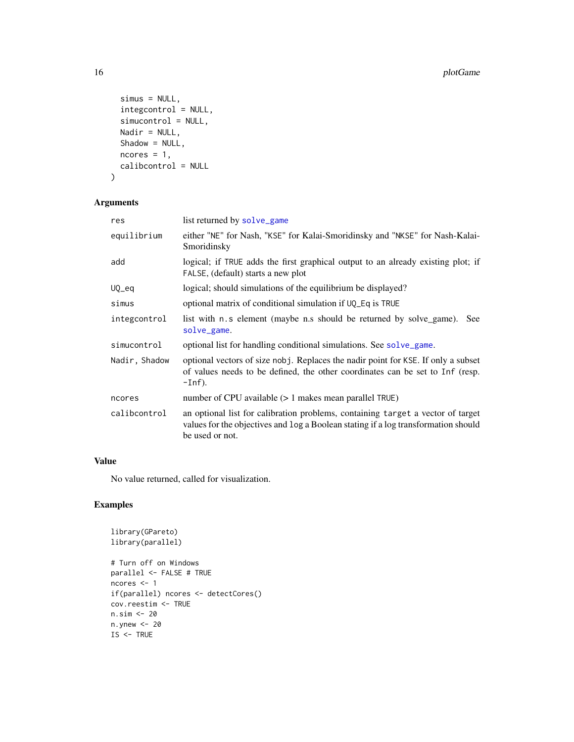```
simus = NULL,
  integcontrol = NULL,
  simucontrol = NULL,
  Nadir = NULL,
  Shadow = NULL,
  ncores = 1,
  calibcontrol = NULL
\mathcal{L}
```
# Arguments

| res           | list returned by solve_game                                                                                                                                                              |
|---------------|------------------------------------------------------------------------------------------------------------------------------------------------------------------------------------------|
| equilibrium   | either "NE" for Nash, "KSE" for Kalai-Smoridinsky and "NKSE" for Nash-Kalai-<br>Smoridinsky                                                                                              |
| add           | logical; if TRUE adds the first graphical output to an already existing plot; if<br>FALSE, (default) starts a new plot                                                                   |
| UQ_eq         | logical; should simulations of the equilibrium be displayed?                                                                                                                             |
| simus         | optional matrix of conditional simulation if UQ_Eq is TRUE                                                                                                                               |
| integcontrol  | list with n.s element (maybe n.s should be returned by solve_game).<br><b>See</b><br>solve_game.                                                                                         |
| simucontrol   | optional list for handling conditional simulations. See solve_game.                                                                                                                      |
| Nadir, Shadow | optional vectors of size nobj. Replaces the nadir point for KSE. If only a subset<br>of values needs to be defined, the other coordinates can be set to Inf (resp.<br>$-Inf$ ).          |
| ncores        | number of CPU available $(> 1$ makes mean parallel TRUE)                                                                                                                                 |
| calibcontrol  | an optional list for calibration problems, containing target a vector of target<br>values for the objectives and log a Boolean stating if a log transformation should<br>be used or not. |

# Value

No value returned, called for visualization.

```
library(GPareto)
library(parallel)
# Turn off on Windows
parallel <- FALSE # TRUE
ncores <- 1
if(parallel) ncores <- detectCores()
cov.reestim <- TRUE
n.sim <- 20
n.ynew <- 20
IS < - TRUE
```
<span id="page-15-0"></span>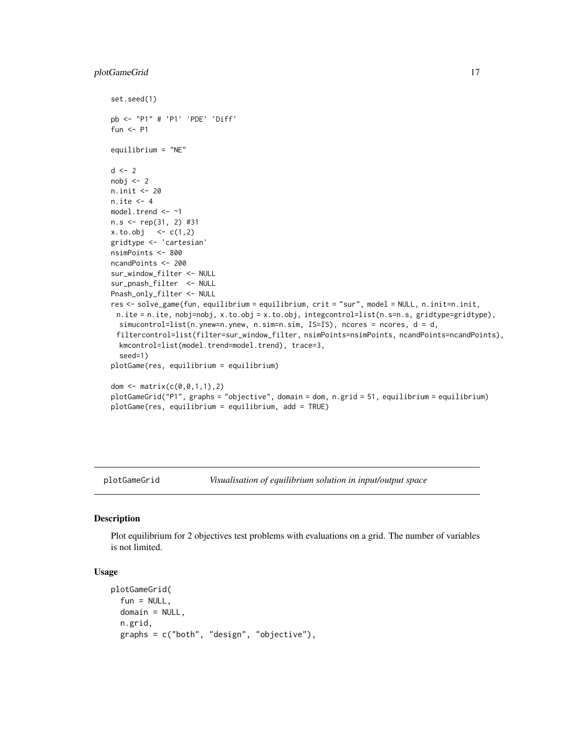### <span id="page-16-0"></span>plotGameGrid 17

```
set.seed(1)
pb <- "P1" # 'P1' 'PDE' 'Diff'
fun <- P1
equilibrium = "NE"
d \le -2nobj <-2n.init <- 20
n.ite <- 4
model.trend <- ~1
n.s <- rep(31, 2) #31
x. to. obj < -c(1, 2)gridtype <- 'cartesian'
nsimPoints <- 800
ncandPoints <- 200
sur_window_filter <- NULL
sur_pnash_filter <- NULL
Pnash_only_filter <- NULL
res <- solve_game(fun, equilibrium = equilibrium, crit = "sur", model = NULL, n.init=n.init,
 n.ite = n.ite, nobj=nobj, x.to.obj = x.to.obj, integcontrol=list(n.s=n.s, gridtype=gridtype),
  simucontrol=list(n.ynew=n.ynew, n.sim=n.sim, IS=IS), ncores = ncores, d = d,
 filtercontrol=list(filter=sur_window_filter, nsimPoints=nsimPoints, ncandPoints=ncandPoints),
  kmcontrol=list(model.trend=model.trend), trace=3,
  seed=1)
plotGame(res, equilibrium = equilibrium)
dom <- matrix(c(0,0,1,1),2)
plotGameGrid("P1", graphs = "objective", domain = dom, n.grid = 51, equilibrium = equilibrium)
plotGame(res, equilibrium = equilibrium, add = TRUE)
```
plotGameGrid *Visualisation of equilibrium solution in input/output space*

#### Description

Plot equilibrium for 2 objectives test problems with evaluations on a grid. The number of variables is not limited.

```
plotGameGrid(
  fun = NULL,domain = NULL,n.grid,
 graphs = c("both", "design", "objective"),
```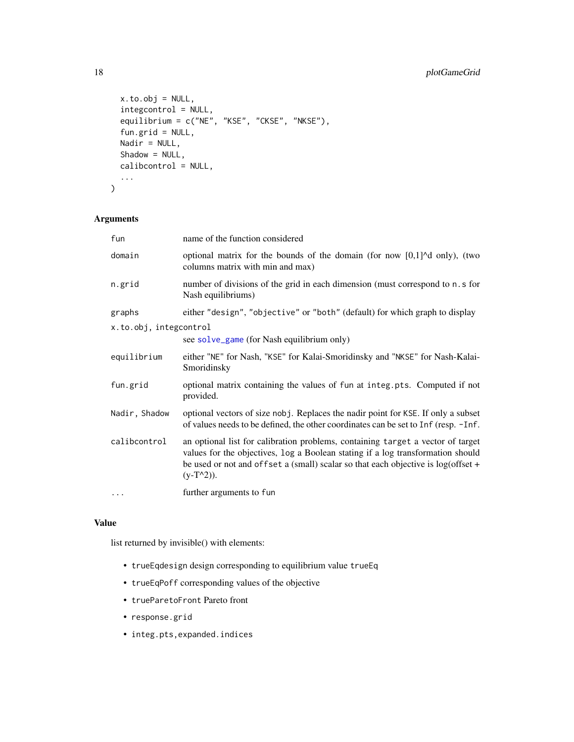```
x.to.obj = NULL,integcontrol = NULL,
 equilibrium = c("NE", "KSE", "CKSE", "NKSE"),
 fun.grid = NULL,
 Nadir = NULL,
 Shadow = NULL,
 calibcontrol = NULL,
  ...
)
```
# Arguments

| fun                    | name of the function considered                                                                                                                                                                                                                                           |
|------------------------|---------------------------------------------------------------------------------------------------------------------------------------------------------------------------------------------------------------------------------------------------------------------------|
| domain                 | optional matrix for the bounds of the domain (for now $[0,1]$ <sup><math>\wedge</math></sup> d only), (two<br>columns matrix with min and max)                                                                                                                            |
| n.grid                 | number of divisions of the grid in each dimension (must correspond to n.s for<br>Nash equilibriums)                                                                                                                                                                       |
| graphs                 | either "design", "objective" or "both" (default) for which graph to display                                                                                                                                                                                               |
| x.to.obj, integcontrol | see solve_game (for Nash equilibrium only)                                                                                                                                                                                                                                |
|                        |                                                                                                                                                                                                                                                                           |
| equilibrium            | either "NE" for Nash, "KSE" for Kalai-Smoridinsky and "NKSE" for Nash-Kalai-<br>Smoridinsky                                                                                                                                                                               |
| fun.grid               | optional matrix containing the values of fun at integ.pts. Computed if not<br>provided.                                                                                                                                                                                   |
| Nadir, Shadow          | optional vectors of size nobj. Replaces the nadir point for KSE. If only a subset<br>of values needs to be defined, the other coordinates can be set to Inf (resp. -Inf.                                                                                                  |
| calibcontrol           | an optional list for calibration problems, containing target a vector of target<br>values for the objectives, log a Boolean stating if a log transformation should<br>be used or not and offset a (small) scalar so that each objective is $log(offset +$<br>$(y-T^2)$ ). |
| .                      | further arguments to fun                                                                                                                                                                                                                                                  |

# Value

list returned by invisible() with elements:

- trueEqdesign design corresponding to equilibrium value trueEq
- trueEqPoff corresponding values of the objective
- trueParetoFront Pareto front
- response.grid
- integ.pts,expanded.indices

<span id="page-17-0"></span>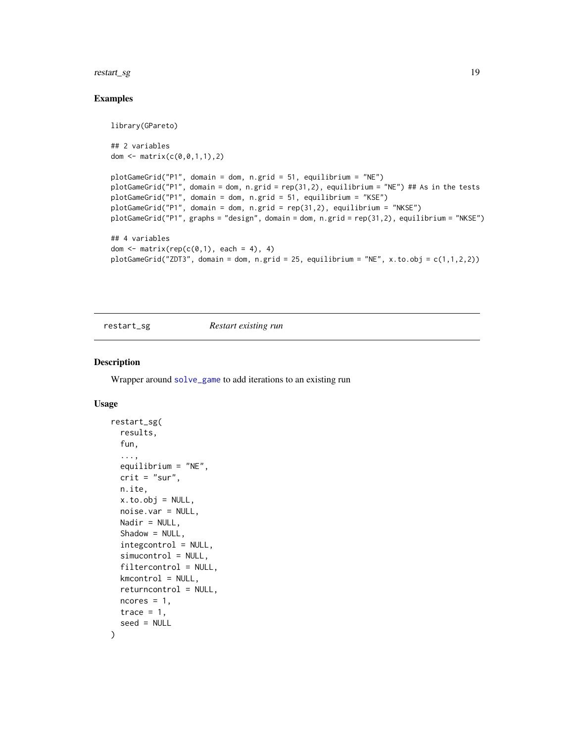#### <span id="page-18-0"></span>restart\_sg 19

#### Examples

```
library(GPareto)
## 2 variables
dom <- matrix(c(0, 0, 1, 1), 2)plotGameGrid("P1", domain = dom, n.grid = 51, equilibrium = "NE")
plotGameGrid("P1", domain = dom, n.grid = rep(31,2), equilibrium = "NE") ## As in the tests
plotGameGrid("P1", domain = dom, n.grid = 51, equilibrium = "KSE")
plotGameGrid("P1", domain = dom, n.grid = rep(31,2), equilibrium = "NKSE")
plotGameGrid("P1", graphs = "design", domain = dom, n.grid = rep(31,2), equilibrium = "NKSE")
## 4 variables
dom \leq matrix(rep(c(0,1), each = 4), 4)
plotGameGrid("ZDT3", domain = dom, n.grid = 25, equilibrium = "NE", x.to.obj = c(1,1,2,2))
```
restart\_sg *Restart existing run*

#### Description

Wrapper around [solve\\_game](#page-20-1) to add iterations to an existing run

```
restart_sg(
  results,
  fun,
  ...,
  equilibrium = "NE",
 crit = "sur",n.ite,
 x.to.obj = NULL,noise.var = NULL,
 Nadir = NULL,Shadow = NULL,integcontrol = NULL,
  simucontrol = NULL,
  filtercontrol = NULL,
 kmcontrol = NULL,
  returncontrol = NULL,
 ncores = 1,
 trace = 1,
  seed = NULL
)
```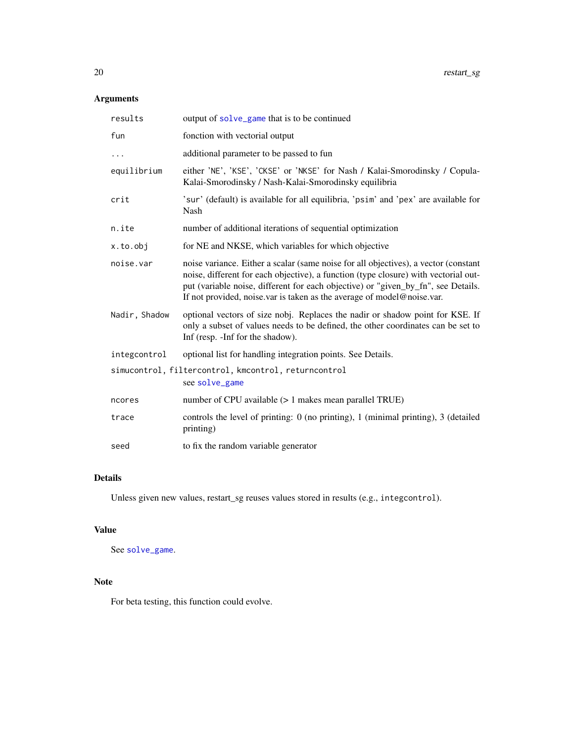# <span id="page-19-0"></span>Arguments

| results       | output of solve_game that is to be continued                                                                                                                                                                                                                                                                                              |
|---------------|-------------------------------------------------------------------------------------------------------------------------------------------------------------------------------------------------------------------------------------------------------------------------------------------------------------------------------------------|
| fun           | fonction with vectorial output                                                                                                                                                                                                                                                                                                            |
|               | additional parameter to be passed to fun                                                                                                                                                                                                                                                                                                  |
| equilibrium   | either 'NE', 'KSE', 'CKSE' or 'NKSE' for Nash / Kalai-Smorodinsky / Copula-<br>Kalai-Smorodinsky / Nash-Kalai-Smorodinsky equilibria                                                                                                                                                                                                      |
| crit          | 'sur' (default) is available for all equilibria, 'psim' and 'pex' are available for<br>Nash                                                                                                                                                                                                                                               |
| n.ite         | number of additional iterations of sequential optimization                                                                                                                                                                                                                                                                                |
| x.to.obj      | for NE and NKSE, which variables for which objective                                                                                                                                                                                                                                                                                      |
| noise.var     | noise variance. Either a scalar (same noise for all objectives), a vector (constant<br>noise, different for each objective), a function (type closure) with vectorial out-<br>put (variable noise, different for each objective) or "given_by_fn", see Details.<br>If not provided, noise var is taken as the average of model@noise var. |
| Nadir, Shadow | optional vectors of size nobj. Replaces the nadir or shadow point for KSE. If<br>only a subset of values needs to be defined, the other coordinates can be set to<br>Inf (resp. -Inf for the shadow).                                                                                                                                     |
| integcontrol  | optional list for handling integration points. See Details.                                                                                                                                                                                                                                                                               |
|               | simucontrol, filtercontrol, kmcontrol, returncontrol<br>see solve_game                                                                                                                                                                                                                                                                    |
| ncores        | number of CPU available $(> 1$ makes mean parallel TRUE)                                                                                                                                                                                                                                                                                  |
| trace         | controls the level of printing: $0$ (no printing), 1 (minimal printing), 3 (detailed<br>printing)                                                                                                                                                                                                                                         |
| seed          | to fix the random variable generator                                                                                                                                                                                                                                                                                                      |

# Details

Unless given new values, restart\_sg reuses values stored in results (e.g., integcontrol).

# Value

See [solve\\_game](#page-20-1).

# Note

For beta testing, this function could evolve.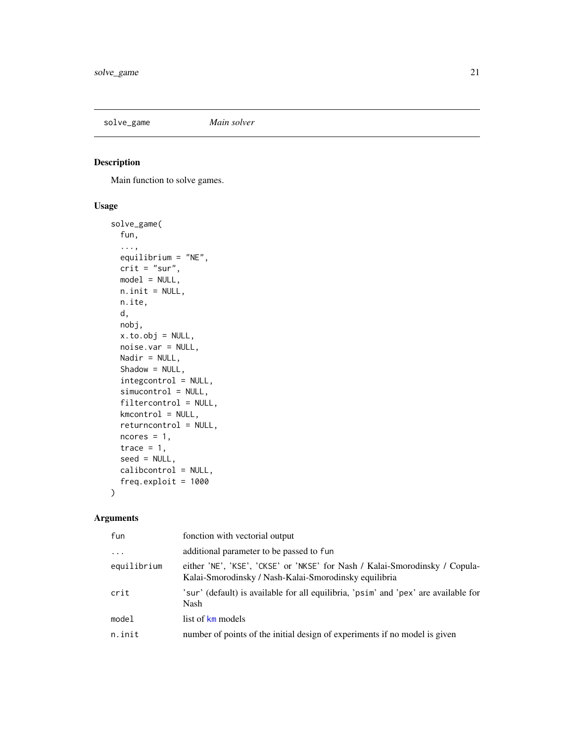<span id="page-20-1"></span><span id="page-20-0"></span>solve\_game *Main solver*

# Description

Main function to solve games.

# Usage

```
solve_game(
  fun,
  ...,
  equilibrium = "NE",
 crit = "sur",model = NULL,n.init = NULL,
 n.ite,
 d,
 nobj,
 x.to.obj = NULL,noise.var = NULL,
 Nadir = NULL,
  Shadow = NULL,
  integcontrol = NULL,
  simucontrol = NULL,
  filtercontrol = NULL,
 kmcontrol = NULL,
  returncontrol = NULL,
 ncores = 1,
  trace = 1,
  seed = NULL,
  calibcontrol = NULL,
  freq.exploit = 1000
)
```
# Arguments

| fun         | fonction with vectorial output                                                                                                       |
|-------------|--------------------------------------------------------------------------------------------------------------------------------------|
| $\cdots$    | additional parameter to be passed to fun                                                                                             |
| equilibrium | either 'NE', 'KSE', 'CKSE' or 'NKSE' for Nash / Kalai-Smorodinsky / Copula-<br>Kalai-Smorodinsky / Nash-Kalai-Smorodinsky equilibria |
| crit        | 'sur' (default) is available for all equilibria, 'psim' and 'pex' are available for<br>Nash                                          |
| model       | list of km models                                                                                                                    |
| n.init      | number of points of the initial design of experiments if no model is given                                                           |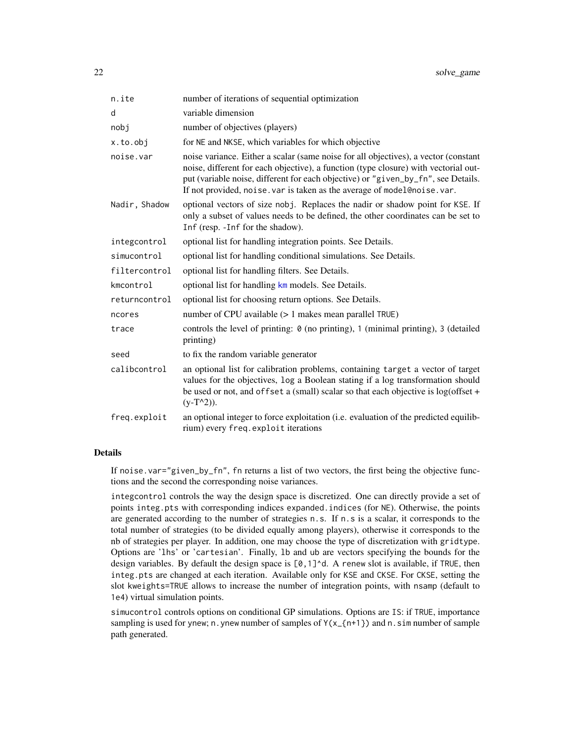| n.ite         | number of iterations of sequential optimization                                                                                                                                                                                                                                                                                             |
|---------------|---------------------------------------------------------------------------------------------------------------------------------------------------------------------------------------------------------------------------------------------------------------------------------------------------------------------------------------------|
| d             | variable dimension                                                                                                                                                                                                                                                                                                                          |
| nobj          | number of objectives (players)                                                                                                                                                                                                                                                                                                              |
| x.to.obj      | for NE and NKSE, which variables for which objective                                                                                                                                                                                                                                                                                        |
| noise.var     | noise variance. Either a scalar (same noise for all objectives), a vector (constant<br>noise, different for each objective), a function (type closure) with vectorial out-<br>put (variable noise, different for each objective) or "given_by_fn", see Details.<br>If not provided, noise. var is taken as the average of model@noise. var. |
| Nadir, Shadow | optional vectors of size nobj. Replaces the nadir or shadow point for KSE. If<br>only a subset of values needs to be defined, the other coordinates can be set to<br>Inf (resp. - Inf for the shadow).                                                                                                                                      |
| integcontrol  | optional list for handling integration points. See Details.                                                                                                                                                                                                                                                                                 |
| simucontrol   | optional list for handling conditional simulations. See Details.                                                                                                                                                                                                                                                                            |
| filtercontrol | optional list for handling filters. See Details.                                                                                                                                                                                                                                                                                            |
| kmcontrol     | optional list for handling km models. See Details.                                                                                                                                                                                                                                                                                          |
| returncontrol | optional list for choosing return options. See Details.                                                                                                                                                                                                                                                                                     |
| ncores        | number of CPU available $(> 1$ makes mean parallel TRUE)                                                                                                                                                                                                                                                                                    |
| trace         | controls the level of printing: $\theta$ (no printing), 1 (minimal printing), 3 (detailed<br>printing)                                                                                                                                                                                                                                      |
| seed          | to fix the random variable generator                                                                                                                                                                                                                                                                                                        |
| calibcontrol  | an optional list for calibration problems, containing target a vector of target<br>values for the objectives, log a Boolean stating if a log transformation should<br>be used or not, and offset a (small) scalar so that each objective is log(offset +<br>$(y-T^2)$ ).                                                                    |
| freq.exploit  | an optional integer to force exploitation (i.e. evaluation of the predicted equilib-<br>rium) every freq. exploit iterations                                                                                                                                                                                                                |

## Details

If noise.var="given\_by\_fn", fn returns a list of two vectors, the first being the objective functions and the second the corresponding noise variances.

integcontrol controls the way the design space is discretized. One can directly provide a set of points integ.pts with corresponding indices expanded.indices (for NE). Otherwise, the points are generated according to the number of strategies n.s. If n.s is a scalar, it corresponds to the total number of strategies (to be divided equally among players), otherwise it corresponds to the nb of strategies per player. In addition, one may choose the type of discretization with gridtype. Options are 'lhs' or 'cartesian'. Finally, lb and ub are vectors specifying the bounds for the design variables. By default the design space is  $[0,1]$ <sup> $\land$ </sup>d. A renew slot is available, if TRUE, then integ.pts are changed at each iteration. Available only for KSE and CKSE. For CKSE, setting the slot kweights=TRUE allows to increase the number of integration points, with nsamp (default to 1e4) virtual simulation points.

simucontrol controls options on conditional GP simulations. Options are IS: if TRUE, importance sampling is used for ynew; n. ynew number of samples of  $Y(x_{n+1})$  and n. sim number of sample path generated.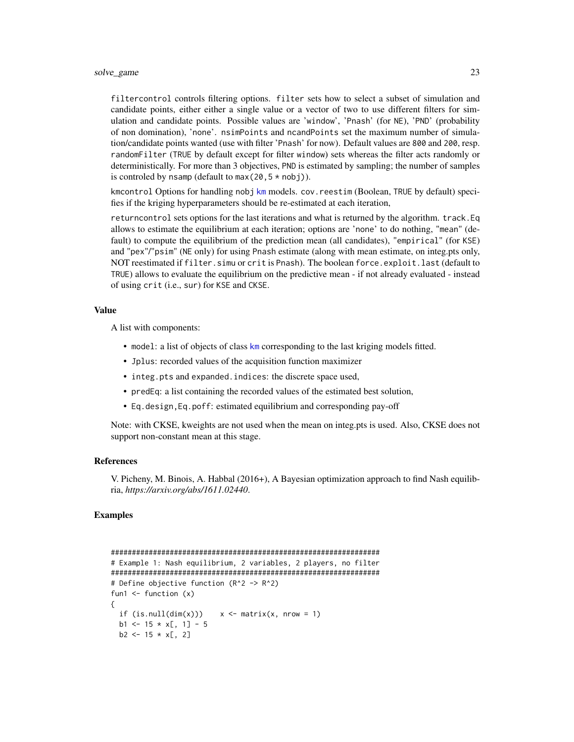<span id="page-22-0"></span>filtercontrol controls filtering options. filter sets how to select a subset of simulation and candidate points, either either a single value or a vector of two to use different filters for simulation and candidate points. Possible values are 'window', 'Pnash' (for NE), 'PND' (probability of non domination), 'none'. nsimPoints and ncandPoints set the maximum number of simulation/candidate points wanted (use with filter 'Pnash' for now). Default values are 800 and 200, resp. randomFilter (TRUE by default except for filter window) sets whereas the filter acts randomly or deterministically. For more than 3 objectives, PND is estimated by sampling; the number of samples is controled by nsamp (default to  $max(20, 5 * nobi)$ ).

[km](#page-0-0)control Options for handling nobj km models. cov. reestim (Boolean, TRUE by default) specifies if the kriging hyperparameters should be re-estimated at each iteration,

returncontrol sets options for the last iterations and what is returned by the algorithm. track.Eq allows to estimate the equilibrium at each iteration; options are 'none' to do nothing, "mean" (default) to compute the equilibrium of the prediction mean (all candidates), "empirical" (for KSE) and "pex"/"psim" (NE only) for using Pnash estimate (along with mean estimate, on integ.pts only, NOT reestimated if filter.simu or crit is Pnash). The boolean force.exploit.last (default to TRUE) allows to evaluate the equilibrium on the predictive mean - if not already evaluated - instead of using crit (i.e., sur) for KSE and CKSE.

#### Value

A list with components:

- model: a list of objects of class [km](#page-0-0) corresponding to the last kriging models fitted.
- Jplus: recorded values of the acquisition function maximizer
- integ.pts and expanded.indices: the discrete space used,
- predEq: a list containing the recorded values of the estimated best solution,
- Eq.design,Eq.poff: estimated equilibrium and corresponding pay-off

Note: with CKSE, kweights are not used when the mean on integ.pts is used. Also, CKSE does not support non-constant mean at this stage.

#### References

V. Picheny, M. Binois, A. Habbal (2016+), A Bayesian optimization approach to find Nash equilibria, *https://arxiv.org/abs/1611.02440*.

```
################################################################
# Example 1: Nash equilibrium, 2 variables, 2 players, no filter
################################################################
# Define objective function (R^2 -> R^2)
fun1 \leftarrow function (x){
 if (is.null(dim(x)))  x <- matrix(x, nrow = 1)
 b1 \le -15 \times x[, 1] - 5b2 \le -15 \times x[, 2]
```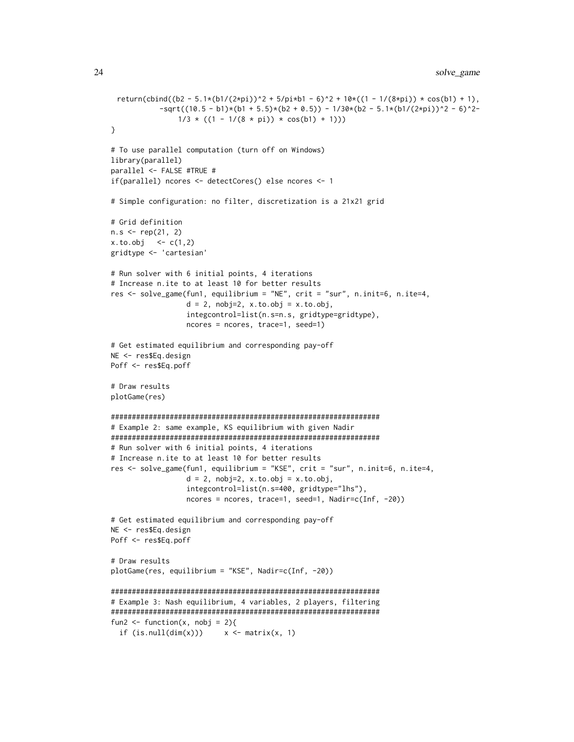```
return(cbind((b2 - 5.1*(b1/(2*pi))^2 + 5/pi*b1 - 6)^2 + 10*((1 - 1/(8*pi)) * cos(b1) + 1),
           -sqrt((10.5 - b1)*(b1 + 5.5)*(b2 + 0.5)) - 1/30*(b2 - 5.1*(b1/(2*pi))^2 - 6)^2-1/3 * ((1 - 1/(8 * pi)) * cos(b1) + 1)))}
# To use parallel computation (turn off on Windows)
library(parallel)
parallel <- FALSE #TRUE #
if(parallel) ncores <- detectCores() else ncores <- 1
# Simple configuration: no filter, discretization is a 21x21 grid
# Grid definition
n.s < - rep(21, 2)x. to. obj < -c(1,2)gridtype <- 'cartesian'
# Run solver with 6 initial points, 4 iterations
# Increase n.ite to at least 10 for better results
res <- solve_game(fun1, equilibrium = "NE", crit = "sur", n.init=6, n.ite=4,
                  d = 2, nobj=2, x.to.obj = x.to.obj,
                  integcontrol=list(n.s=n.s, gridtype=gridtype),
                  ncores = ncores, trace=1, seed=1)
# Get estimated equilibrium and corresponding pay-off
NE <- res$Eq.design
Poff <- res$Eq.poff
# Draw results
plotGame(res)
################################################################
# Example 2: same example, KS equilibrium with given Nadir
################################################################
# Run solver with 6 initial points, 4 iterations
# Increase n.ite to at least 10 for better results
res <- solve_game(fun1, equilibrium = "KSE", crit = "sur", n.init=6, n.ite=4,
                  d = 2, nobj=2, x.to.obj = x.to.obj,
                  integcontrol=list(n.s=400, gridtype="lhs"),
                  ncores = ncores, trace=1, seed=1, Nadir=c(Inf, -20))
# Get estimated equilibrium and corresponding pay-off
NE <- res$Eq.design
Poff <- res$Eq.poff
# Draw results
plotGame(res, equilibrium = "KSE", Nadir=c(Inf, -20))
################################################################
# Example 3: Nash equilibrium, 4 variables, 2 players, filtering
################################################################
fun2 <- function(x, nobj = 2){
  if (is.null(dim(x))) x \leftarrow matrix(x, 1)
```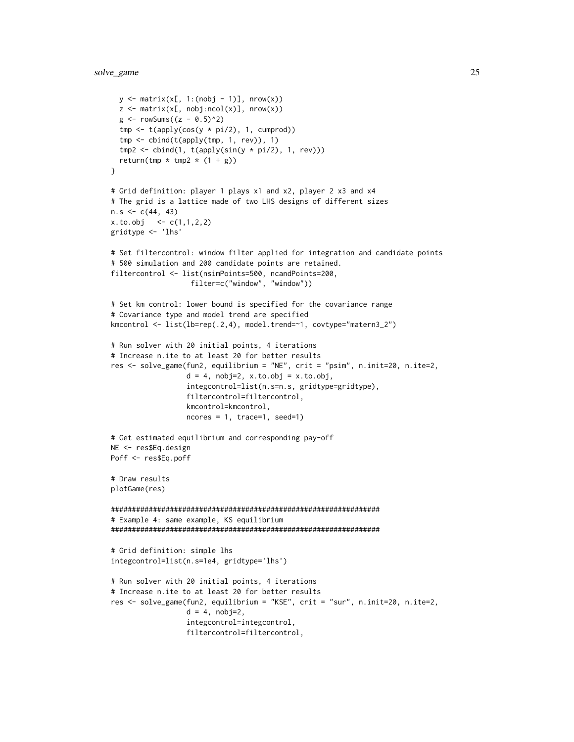```
y \le - matrix(x[, 1:(nobj - 1)], nrow(x))
  z \le matrix(x[, nobj:ncol(x)], nrow(x))
  g <- rowSums((z - 0.5)^2)
  tmp \leftarrow t(apply(cos(y * pi/2), 1, cumprod))tmp \leftarrow child(t(\text{apply}(\text{tmp}, 1, rev)), 1)tmp2 < - child(1, t(apoly(sin(y * pi/2), 1, rev)))return(tmp * tmp2 * (1 + g))
}
# Grid definition: player 1 plays x1 and x2, player 2 x3 and x4
# The grid is a lattice made of two LHS designs of different sizes
n.s < -c(44, 43)x. to. obj <- c(1,1,2,2)gridtype <- 'lhs'
# Set filtercontrol: window filter applied for integration and candidate points
# 500 simulation and 200 candidate points are retained.
filtercontrol <- list(nsimPoints=500, ncandPoints=200,
                   filter=c("window", "window"))
# Set km control: lower bound is specified for the covariance range
# Covariance type and model trend are specified
kmcontrol <- list(lb=rep(.2,4), model.trend=~1, covtype="matern3_2")
# Run solver with 20 initial points, 4 iterations
# Increase n.ite to at least 20 for better results
res <- solve_game(fun2, equilibrium = "NE", crit = "psim", n.init=20, n.ite=2,
                  d = 4, nobj=2, x.to.obj = x.to.obj,
                  integcontrol=list(n.s=n.s, gridtype=gridtype),
                  filtercontrol=filtercontrol,
                  kmcontrol=kmcontrol,
                  ncores = 1, trace=1, seed=1)
# Get estimated equilibrium and corresponding pay-off
NE <- res$Eq.design
Poff <- res$Eq.poff
# Draw results
plotGame(res)
################################################################
# Example 4: same example, KS equilibrium
################################################################
# Grid definition: simple lhs
integcontrol=list(n.s=1e4, gridtype='lhs')
# Run solver with 20 initial points, 4 iterations
# Increase n.ite to at least 20 for better results
res <- solve_game(fun2, equilibrium = "KSE", crit = "sur", n.init=20, n.ite=2,
                  d = 4, nobj=2,
                  integcontrol=integcontrol,
                  filtercontrol=filtercontrol,
```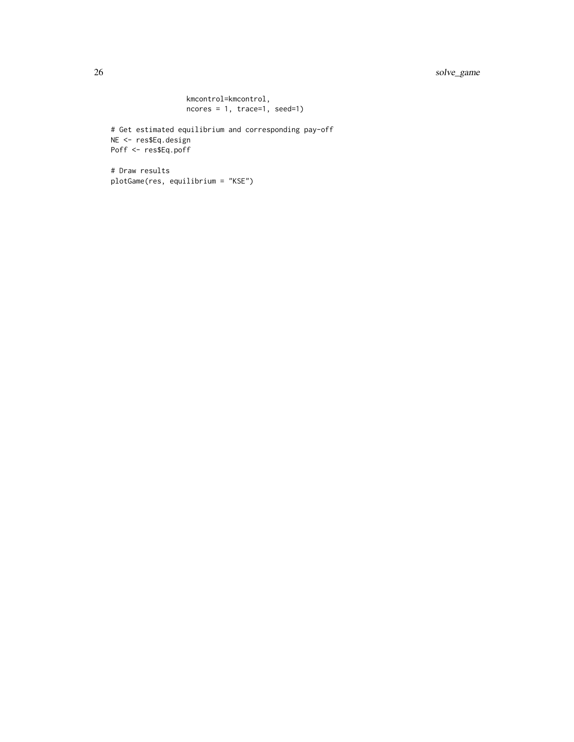# 26 solve\_game

```
kmcontrol=kmcontrol,
ncores = 1, trace=1, seed=1)
```

```
# Get estimated equilibrium and corresponding pay-off
NE <- res$Eq.design
Poff <- res$Eq.poff
```

```
# Draw results
plotGame(res, equilibrium = "KSE")
```